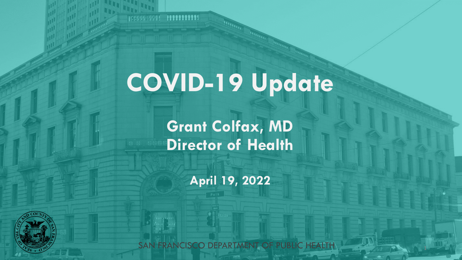# **COVID-19 Update**

**Burney** 

**ANGELIA** 

199999-9991 19999999999

**Grant Colfax, MD Director of Health**

**April 19, 2022**

SAN FRANCISCO DEPARTMENT OF PUBLIC HEALTH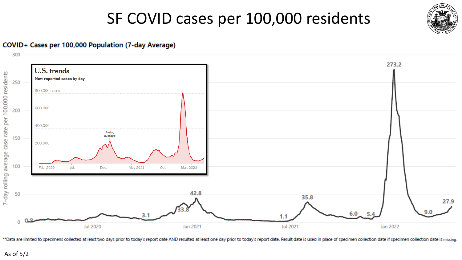#### SF COVID cases per 100,000 residents



#### COVID+ Cases per 100,000 Population (7-day Average)



\*\*Data are limited to specimens collected at least two days prior to today's report date AND resulted at least one day prior to today's report date. Result date is used in place of specimen collection date if specimen coll

As of 5/2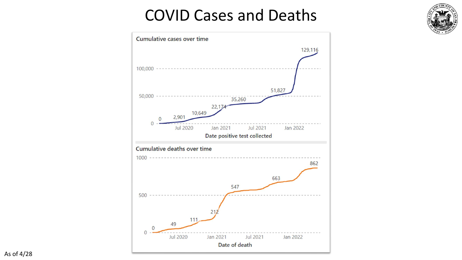#### COVID Cases and Deaths

 $CO$ 

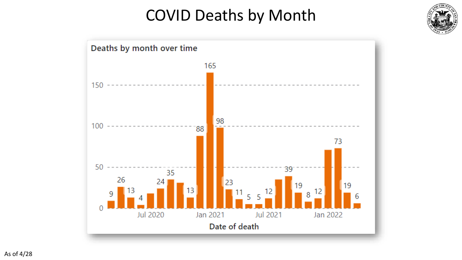### COVID Deaths by Month



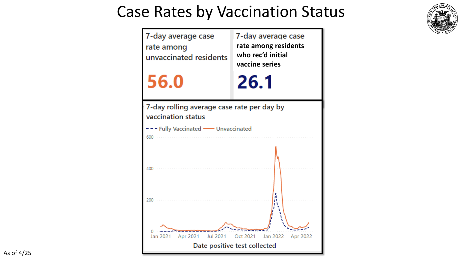#### Case Rates by Vaccination Status



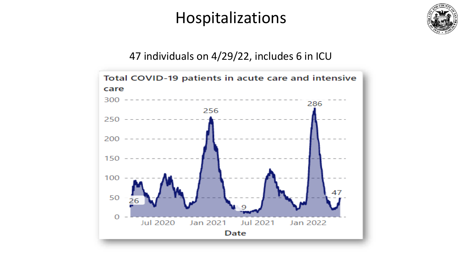#### Hospitalizations



#### 47 individuals on 4/29/22, includes 6 in ICU

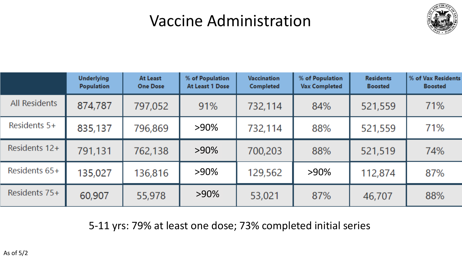### Vaccine Administration



|                      | <b>Underlying</b><br><b>Population</b> | At Least<br><b>One Dose</b> | % of Population<br>At Least 1 Dose | <b>Vaccination</b><br><b>Completed</b> | % of Population<br><b>Vax Completed</b> | <b>Residents</b><br><b>Boosted</b> | % of Vax Residents<br><b>Boosted</b> |
|----------------------|----------------------------------------|-----------------------------|------------------------------------|----------------------------------------|-----------------------------------------|------------------------------------|--------------------------------------|
| <b>All Residents</b> | 874,787                                | 797,052                     | 91%                                | 732,114                                | 84%                                     | 521,559                            | 71%                                  |
| Residents 5+         | 835,137                                | 796,869                     | $>90\%$                            | 732,114                                | 88%                                     | 521,559                            | 71%                                  |
| Residents 12+        | 791,131                                | 762,138                     | $>90\%$                            | 700,203                                | 88%                                     | 521,519                            | 74%                                  |
| Residents 65+        | 135,027                                | 136,816                     | $>90\%$                            | 129,562                                | $>90\%$                                 | 112,874                            | 87%                                  |
| Residents 75+        | 60,907                                 | 55,978                      | $>90\%$                            | 53,021                                 | 87%                                     | 46,707                             | 88%                                  |

5-11 yrs: 79% at least one dose; 73% completed initial series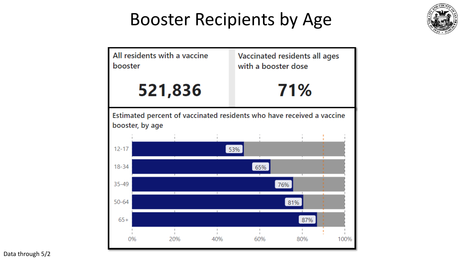## Booster Recipients by Age





Data through 5/2